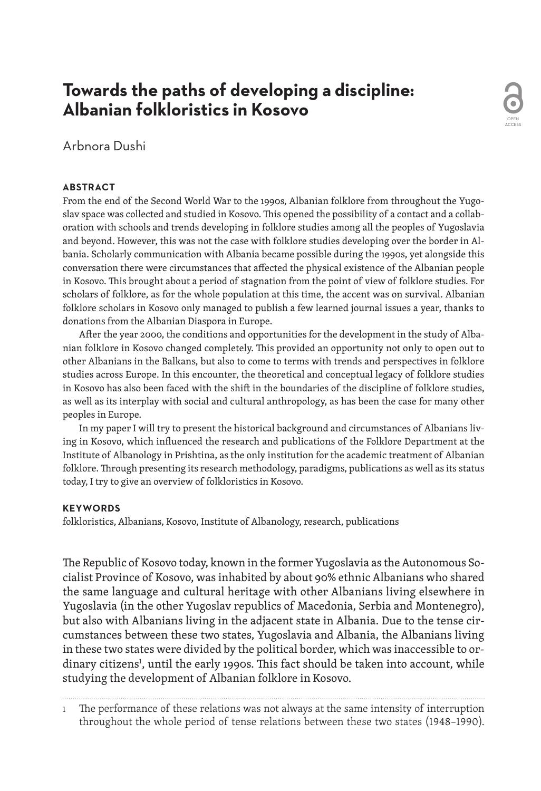# **Towards the paths of developing a discipline: Albanian folkloristics in Kosovo**

Arbnora Dushi

### **ABSTRACT**

From the end of the Second World War to the 1990s, Albanian folklore from throughout the Yugoslav space was collected and studied in Kosovo. This opened the possibility of a contact and a collaboration with schools and trends developing in folklore studies among all the peoples of Yugoslavia and beyond. However, this was not the case with folklore studies developing over the border in Albania. Scholarly communication with Albania became possible during the 1990s, yet alongside this conversation there were circumstances that affected the physical existence of the Albanian people in Kosovo. This brought about a period of stagnation from the point of view of folklore studies. For scholars of folklore, as for the whole population at this time, the accent was on survival. Albanian folklore scholars in Kosovo only managed to publish a few learned journal issues a year, thanks to donations from the Albanian Diaspora in Europe.

OPEN ACCESS

After the year 2000, the conditions and opportunities for the development in the study of Albanian folklore in Kosovo changed completely. This provided an opportunity not only to open out to other Albanians in the Balkans, but also to come to terms with trends and perspectives in folklore studies across Europe. In this encounter, the theoretical and conceptual legacy of folklore studies in Kosovo has also been faced with the shift in the boundaries of the discipline of folklore studies, as well as its interplay with social and cultural anthropology, as has been the case for many other peoples in Europe.

In my paper I will try to present the historical background and circumstances of Albanians living in Kosovo, which influenced the research and publications of the Folklore Department at the Institute of Albanology in Prishtina, as the only institution for the academic treatment of Albanian folklore. Through presenting its research methodology, paradigms, publications as well as its status today, I try to give an overview of folkloristics in Kosovo.

### **KEYWORDS**

folkloristics, Albanians, Kosovo, Institute of Albanology, research, publications

The Republic of Kosovo today, known in the former Yugoslavia as the Autonomous Socialist Province of Kosovo, was inhabited by about 90% ethnic Albanians who shared the same language and cultural heritage with other Albanians living elsewhere in Yugoslavia (in the other Yugoslav republics of Macedonia, Serbia and Montenegro), but also with Albanians living in the adjacent state in Albania. Due to the tense circumstances between these two states, Yugoslavia and Albania, the Albanians living in these two states were divided by the political border, which was inaccessible to ordinary citizens<sup>1</sup>, until the early 1990s. This fact should be taken into account, while studying the development of Albanian folklore in Kosovo.

1 The performance of these relations was not always at the same intensity of interruption throughout the whole period of tense relations between these two states (1948–1990).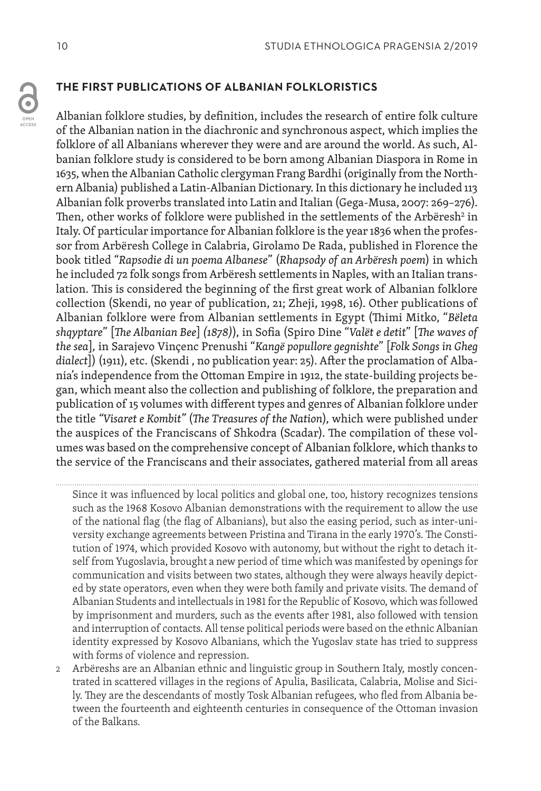### **THE FIRST PUBLICATIONS OF ALBANIAN FOLKLORISTICS**

Albanian folklore studies, by definition, includes the research of entire folk culture of the Albanian nation in the diachronic and synchronous aspect, which implies the folklore of all Albanians wherever they were and are around the world. As such, Albanian folklore study is considered to be born among Albanian Diaspora in Rome in 1635, when the Albanian Catholic clergyman Frang Bardhi (originally from the Northern Albania) published a Latin-Albanian Dictionary. In this dictionary he included 113 Albanian folk proverbs translated into Latin and Italian (Gega-Musa, 2007: 269–276). Then, other works of folklore were published in the settlements of the Arbëresh $^2$  in Italy. Of particular importance for Albanian folklore is the year 1836 when the professor from Arbëresh College in Calabria, Girolamo De Rada, published in Florence the book titled "*Rapsodie di un poema Albanese*" (*Rhapsody of an Arbëresh poem*) in which he included 72 folk songs from Arbëresh settlements in Naples, with an Italian translation. This is considered the beginning of the first great work of Albanian folklore collection (Skendi, no year of publication, 21; Zheji, 1998, 16). Other publications of Albanian folklore were from Albanian settlements in Egypt (Thimi Mitko, "*Bëleta shqyptare*" [*The Albanian Bee*] *(1878)*), in Sofia (Spiro Dine "*Valët e detit*" [*The waves of the sea*]*,* in Sarajevo Vinçenc Prenushi "*Kangë popullore gegnishte*" [*Folk Songs in Gheg dialect*]) (1911), etc. (Skendi , no publication year: 25). After the proclamation of Albania's independence from the Ottoman Empire in 1912, the state-building projects began, which meant also the collection and publishing of folklore, the preparation and publication of 15 volumes with different types and genres of Albanian folklore under the title *"Visaret e Kombit"* (*The Treasures of the Nation*), which were published under the auspices of the Franciscans of Shkodra (Scadar). The compilation of these volumes was based on the comprehensive concept of Albanian folklore, which thanks to the service of the Franciscans and their associates, gathered material from all areas

#### 

Since it was influenced by local politics and global one, too, history recognizes tensions such as the 1968 Kosovo Albanian demonstrations with the requirement to allow the use of the national flag (the flag of Albanians), but also the easing period, such as inter-university exchange agreements between Pristina and Tirana in the early 1970's. The Constitution of 1974, which provided Kosovo with autonomy, but without the right to detach itself from Yugoslavia, brought a new period of time which was manifested by openings for communication and visits between two states, although they were always heavily depicted by state operators, even when they were both family and private visits. The demand of Albanian Students and intellectuals in 1981 for the Republic of Kosovo, which was followed by imprisonment and murders, such as the events after 1981, also followed with tension and interruption of contacts. All tense political periods were based on the ethnic Albanian identity expressed by Kosovo Albanians, which the Yugoslav state has tried to suppress with forms of violence and repression.

2 Arbëreshs are an Albanian ethnic and linguistic group in Southern Italy, mostly concentrated in scattered villages in the regions of Apulia, Basilicata, Calabria, Molise and Sicily. They are the descendants of mostly Tosk Albanian refugees, who fled from Albania between the fourteenth and eighteenth centuries in consequence of the Ottoman invasion of the Balkans.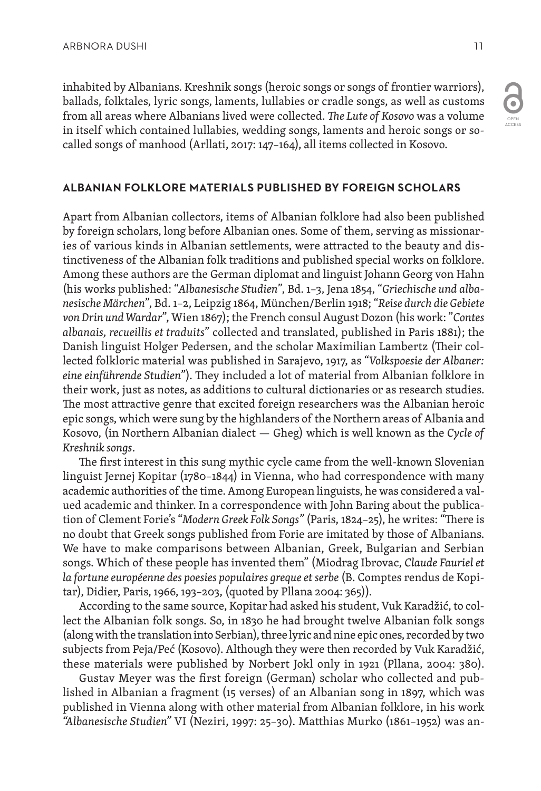inhabited by Albanians. Kreshnik songs (heroic songs or songs of frontier warriors), ballads, folktales, lyric songs, laments, lullabies or cradle songs, as well as customs from all areas where Albanians lived were collected. *The Lute of Kosovo* was a volume in itself which contained lullabies, wedding songs, laments and heroic songs or socalled songs of manhood (Arllati, 2017: 147–164), all items collected in Kosovo.

#### **ALBANIAN FOLKLORE MATERIALS PUBLISHED BY FOREIGN SCHOLARS**

Apart from Albanian collectors, items of Albanian folklore had also been published by foreign scholars, long before Albanian ones. Some of them, serving as missionaries of various kinds in Albanian settlements, were attracted to the beauty and distinctiveness of the Albanian folk traditions and published special works on folklore. Among these authors are the German diplomat and linguist Johann Georg von Hahn (his works published: "*Albanesische Studien*", Bd. 1–3, Jena 1854, "*Griechische und albanesische Märchen*", Bd. 1–2, Leipzig 1864, München/Berlin 1918; "*Reise durch die Gebiete von Drin und Wardar*", Wien 1867); the French consul August Dozon (his work: "*Contes albanais, recueillis et traduits*" collected and translated, published in Paris 1881); the Danish linguist Holger Pedersen, and the scholar Maximilian Lambertz (Their collected folkloric material was published in Sarajevo, 1917, as "*Volkspoesie der Albaner: eine einführende Studien*"). They included a lot of material from Albanian folklore in their work, just as notes, as additions to cultural dictionaries or as research studies. The most attractive genre that excited foreign researchers was the Albanian heroic epic songs, which were sung by the highlanders of the Northern areas of Albania and Kosovo, (in Northern Albanian dialect — Gheg) which is well known as the *Cycle of Kreshnik songs*.

The first interest in this sung mythic cycle came from the well-known Slovenian linguist Jernej Kopitar (1780–1844) in Vienna, who had correspondence with many academic authorities of the time. Among European linguists, he was considered a valued academic and thinker. In a correspondence with John Baring about the publication of Clement Forie's "*Modern Greek Folk Songs"* (Paris, 1824–25), he writes: "There is no doubt that Greek songs published from Forie are imitated by those of Albanians. We have to make comparisons between Albanian, Greek, Bulgarian and Serbian songs. Which of these people has invented them" (Miodrag Ibrovac, *Claude Fauriel et la fortune européenne des poesies populaires greque et serbe* (B. Comptes rendus de Kopitar), Didier, Paris, 1966, 193–203, (quoted by Pllana 2004: 365)).

According to the same source, Kopitar had asked his student, Vuk Karadžić, to collect the Albanian folk songs. So, in 1830 he had brought twelve Albanian folk songs (along with the translation into Serbian), three lyric and nine epic ones, recorded by two subjects from Peja/Peć (Kosovo). Although they were then recorded by Vuk Karadžić, these materials were published by Norbert Jokl only in 1921 (Pllana, 2004: 380).

Gustav Meyer was the first foreign (German) scholar who collected and published in Albanian a fragment (15 verses) of an Albanian song in 1897, which was published in Vienna along with other material from Albanian folklore, in his work *"Albanesische Studien"* VI (Neziri, 1997: 25–30). Matthias Murko (1861–1952) was an-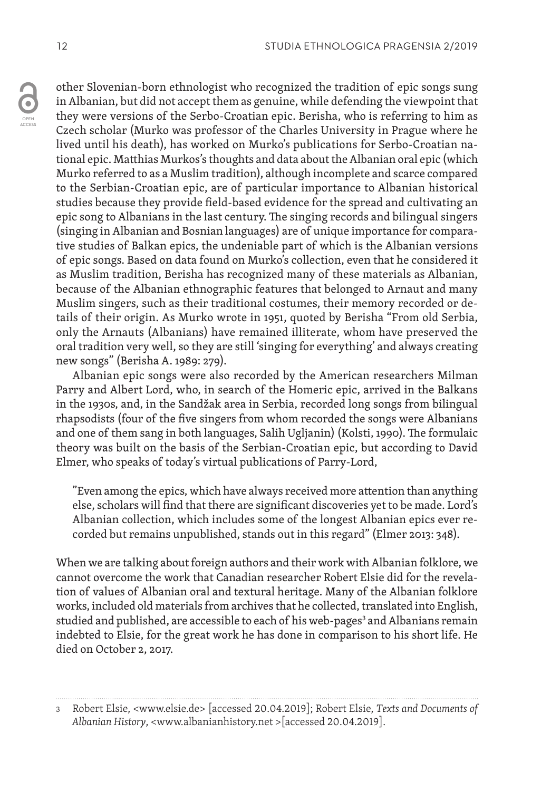other Slovenian-born ethnologist who recognized the tradition of epic songs sung in Albanian, but did not accept them as genuine, while defending the viewpoint that they were versions of the Serbo-Croatian epic. Berisha, who is referring to him as Czech scholar (Murko was professor of the Charles University in Prague where he lived until his death), has worked on Murko's publications for Serbo-Croatian national epic. Matthias Murkos's thoughts and data about the Albanian oral epic (which Murko referred to as a Muslim tradition), although incomplete and scarce compared to the Serbian-Croatian epic, are of particular importance to Albanian historical studies because they provide field-based evidence for the spread and cultivating an epic song to Albanians in the last century. The singing records and bilingual singers (singing in Albanian and Bosnian languages) are of unique importance for comparative studies of Balkan epics, the undeniable part of which is the Albanian versions of epic songs. Based on data found on Murko's collection, even that he considered it as Muslim tradition, Berisha has recognized many of these materials as Albanian, because of the Albanian ethnographic features that belonged to Arnaut and many Muslim singers, such as their traditional costumes, their memory recorded or details of their origin. As Murko wrote in 1951, quoted by Berisha "From old Serbia, only the Arnauts (Albanians) have remained illiterate, whom have preserved the oral tradition very well, so they are still 'singing for everything' and always creating new songs" (Berisha A. 1989: 279).

Albanian epic songs were also recorded by the American researchers Milman Parry and Albert Lord, who, in search of the Homeric epic, arrived in the Balkans in the 1930s, and, in the Sandžak area in Serbia, recorded long songs from bilingual rhapsodists (four of the five singers from whom recorded the songs were Albanians and one of them sang in both languages, Salih Ugljanin) (Kolsti, 1990). The formulaic theory was built on the basis of the Serbian-Croatian epic, but according to David Elmer, who speaks of today's virtual publications of Parry-Lord,

"Even among the epics, which have always received more attention than anything else, scholars will find that there are significant discoveries yet to be made. Lord's Albanian collection, which includes some of the longest Albanian epics ever recorded but remains unpublished, stands out in this regard" (Elmer 2013: 348).

When we are talking about foreign authors and their work with Albanian folklore, we cannot overcome the work that Canadian researcher Robert Elsie did for the revelation of values of Albanian oral and textural heritage. Many of the Albanian folklore works, included old materials from archives that he collected, translated into English, studied and published, are accessible to each of his web-pages<sup>3</sup> and Albanians remain indebted to Elsie, for the great work he has done in comparison to his short life. He died on October 2, 2017.

<sup>3</sup> Robert Elsie, <www.elsie.de> [accessed 20.04.2019]; Robert Elsie, *Texts and Documents of Albanian History*, <www.albanianhistory.net >[accessed 20.04.2019].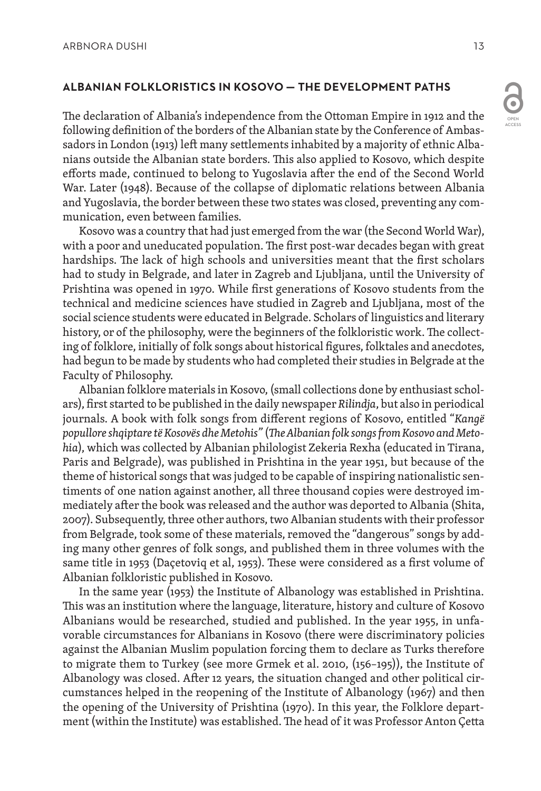### **ALBANIAN FOLKLORISTICS IN KOSOVO — THE DEVELOPMENT PATHS**

The declaration of Albania's independence from the Ottoman Empire in 1912 and the following definition of the borders of the Albanian state by the Conference of Ambassadors in London (1913) left many settlements inhabited by a majority of ethnic Albanians outside the Albanian state borders. This also applied to Kosovo, which despite efforts made, continued to belong to Yugoslavia after the end of the Second World War. Later (1948). Because of the collapse of diplomatic relations between Albania and Yugoslavia, the border between these two states was closed, preventing any communication, even between families.

Kosovo was a country that had just emerged from the war (the Second World War), with a poor and uneducated population. The first post-war decades began with great hardships. The lack of high schools and universities meant that the first scholars had to study in Belgrade, and later in Zagreb and Ljubljana, until the University of Prishtina was opened in 1970. While first generations of Kosovo students from the technical and medicine sciences have studied in Zagreb and Ljubljana, most of the social science students were educated in Belgrade. Scholars of linguistics and literary history, or of the philosophy, were the beginners of the folkloristic work. The collecting of folklore, initially of folk songs about historical figures, folktales and anecdotes, had begun to be made by students who had completed their studies in Belgrade at the Faculty of Philosophy.

Albanian folklore materials in Kosovo, (small collections done by enthusiast scholars), first started to be published in the daily newspaper *Rilindja*, but also in periodical journals. A book with folk songs from different regions of Kosovo, entitled "*Kangë popullore shqiptare të Kosovës dhe Metohis"* (*The Albanian folk songs from Kosovo and Metohia*), which was collected by Albanian philologist Zekeria Rexha (educated in Tirana, Paris and Belgrade), was published in Prishtina in the year 1951, but because of the theme of historical songs that was judged to be capable of inspiring nationalistic sentiments of one nation against another, all three thousand copies were destroyed immediately after the book was released and the author was deported to Albania (Shita, 2007). Subsequently, three other authors, two Albanian students with their professor from Belgrade, took some of these materials, removed the "dangerous" songs by adding many other genres of folk songs, and published them in three volumes with the same title in 1953 (Daçetoviq et al, 1953). These were considered as a first volume of Albanian folkloristic published in Kosovo.

In the same year (1953) the Institute of Albanology was established in Prishtina. This was an institution where the language, literature, history and culture of Kosovo Albanians would be researched, studied and published. In the year 1955, in unfavorable circumstances for Albanians in Kosovo (there were discriminatory policies against the Albanian Muslim population forcing them to declare as Turks therefore to migrate them to Turkey (see more Grmek et al. 2010, (156–195)), the Institute of Albanology was closed. After 12 years, the situation changed and other political circumstances helped in the reopening of the Institute of Albanology (1967) and then the opening of the University of Prishtina (1970). In this year, the Folklore department (within the Institute) was established. The head of it was Professor Anton Çetta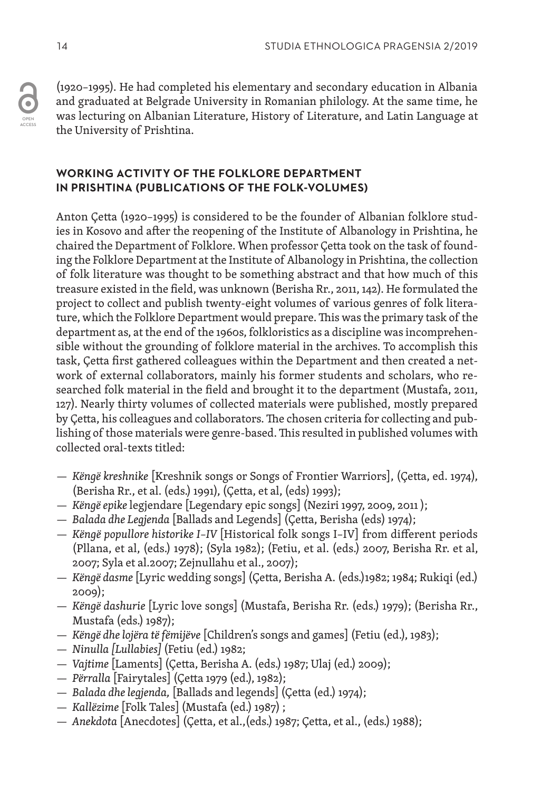OPEN ACCESS (1920–1995). He had completed his elementary and secondary education in Albania and graduated at Belgrade University in Romanian philology. At the same time, he was lecturing on Albanian Literature, History of Literature, and Latin Language at the University of Prishtina.

### **WORKING ACTIVITY OF THE FOLKLORE DEPARTMENT IN PRISHTINA (PUBLICATIONS OF THE FOLK-VOLUMES)**

Anton Çetta (1920–1995) is considered to be the founder of Albanian folklore studies in Kosovo and after the reopening of the Institute of Albanology in Prishtina, he chaired the Department of Folklore. When professor Çetta took on the task of founding the Folklore Department at the Institute of Albanology in Prishtina, the collection of folk literature was thought to be something abstract and that how much of this treasure existed in the field, was unknown (Berisha Rr., 2011, 142). He formulated the project to collect and publish twenty-eight volumes of various genres of folk literature, which the Folklore Department would prepare. This was the primary task of the department as, at the end of the 1960s, folkloristics as a discipline was incomprehensible without the grounding of folklore material in the archives. To accomplish this task, Çetta first gathered colleagues within the Department and then created a network of external collaborators, mainly his former students and scholars, who researched folk material in the field and brought it to the department (Mustafa, 2011, 127). Nearly thirty volumes of collected materials were published, mostly prepared by Çetta, his colleagues and collaborators. The chosen criteria for collecting and publishing of those materials were genre-based. This resulted in published volumes with collected oral-texts titled:

- *Këngë kreshnike* [Kreshnik songs or Songs of Frontier Warriors], (Çetta, ed. 1974), (Berisha Rr., et al. (eds.) 1991), (Çetta, et al, (eds) 1993);
- *Këngë epike* legjendare [Legendary epic songs] (Neziri 1997, 2009, 2011 );
- *Balada dhe Legjenda* [Ballads and Legends] (Çetta, Berisha (eds) 1974);
- *Këngë popullore historike I–IV* [Historical folk songs I–IV] from different periods (Pllana, et al, (eds.) 1978); (Syla 1982); (Fetiu, et al. (eds.) 2007, Berisha Rr. et al, 2007; Syla et al.2007; Zejnullahu et al., 2007);
- *Këngë dasme* [Lyric wedding songs] (Çetta, Berisha A. (eds.)1982; 1984; Rukiqi (ed.) 2009);
- *Këngë dashurie* [Lyric love songs] (Mustafa, Berisha Rr. (eds.) 1979); (Berisha Rr., Mustafa (eds.) 1987);
- *Këngë dhe lojëra të fëmijëve* [Children's songs and games] (Fetiu (ed.), 1983);
- *Ninulla [Lullabies]* (Fetiu (ed.) 1982;
- *Vajtime* [Laments] (Çetta, Berisha A. (eds.) 1987; Ulaj (ed.) 2009);
- *Përralla* [Fairytales] (Çetta 1979 (ed.), 1982);
- *Balada dhe legjenda,* [Ballads and legends] (Çetta (ed.) 1974);
- *Kallëzime* [Folk Tales] (Mustafa (ed.) 1987) ;
- *Anekdota* [Anecdotes] (Çetta, et al.,(eds.) 1987; Çetta, et al., (eds.) 1988);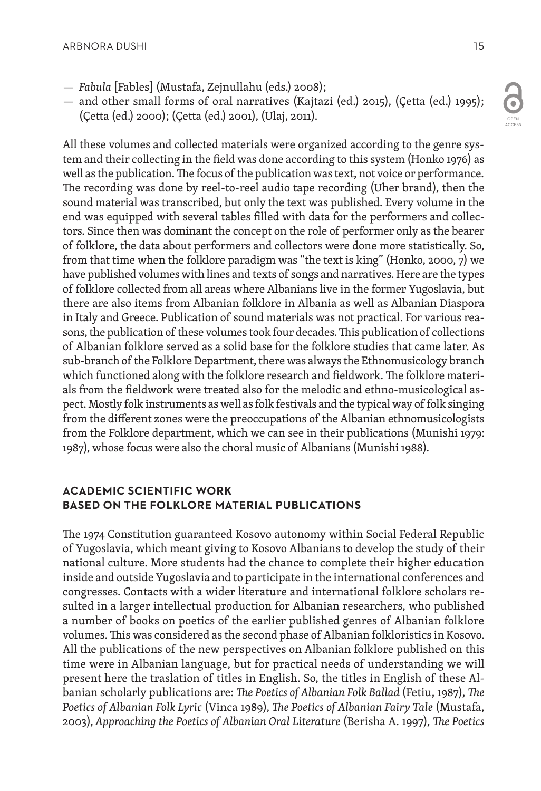- *Fabula* [Fables] (Mustafa, Zejnullahu (eds.) 2008);
- and other small forms of oral narratives (Kajtazi (ed.) 2015), (Çetta (ed.) 1995); (Çetta (ed.) 2000); (Çetta (ed.) 2001), (Ulaj, 2011).

All these volumes and collected materials were organized according to the genre system and their collecting in the field was done according to this system (Honko 1976) as well as the publication. The focus of the publication was text, not voice or performance. The recording was done by reel-to-reel audio tape recording (Uher brand), then the sound material was transcribed, but only the text was published. Every volume in the end was equipped with several tables filled with data for the performers and collectors. Since then was dominant the concept on the role of performer only as the bearer of folklore, the data about performers and collectors were done more statistically. So, from that time when the folklore paradigm was "the text is king" (Honko, 2000, 7) we have published volumes with lines and texts of songs and narratives. Here are the types of folklore collected from all areas where Albanians live in the former Yugoslavia, but there are also items from Albanian folklore in Albania as well as Albanian Diaspora in Italy and Greece. Publication of sound materials was not practical. For various reasons, the publication of these volumes took four decades. This publication of collections of Albanian folklore served as a solid base for the folklore studies that came later. As sub-branch of the Folklore Department, there was always the Ethnomusicology branch which functioned along with the folklore research and fieldwork. The folklore materials from the fieldwork were treated also for the melodic and ethno-musicological aspect. Mostly folk instruments as well as folk festivals and the typical way of folk singing from the different zones were the preoccupations of the Albanian ethnomusicologists from the Folklore department, which we can see in their publications (Munishi 1979: 1987), whose focus were also the choral music of Albanians (Munishi 1988).

### **ACADEMIC SCIENTIFIC WORK BASED ON THE FOLKLORE MATERIAL PUBLICATIONS**

The 1974 Constitution guaranteed Kosovo autonomy within Social Federal Republic of Yugoslavia, which meant giving to Kosovo Albanians to develop the study of their national culture. More students had the chance to complete their higher education inside and outside Yugoslavia and to participate in the international conferences and congresses. Contacts with a wider literature and international folklore scholars resulted in a larger intellectual production for Albanian researchers, who published a number of books on poetics of the earlier published genres of Albanian folklore volumes. This was considered as the second phase of Albanian folkloristics in Kosovo. All the publications of the new perspectives on Albanian folklore published on this time were in Albanian language, but for practical needs of understanding we will present here the traslation of titles in English. So, the titles in English of these Albanian scholarly publications are: *The Poetics of Albanian Folk Ballad* (Fetiu, 1987), *The Poetics of Albanian Folk Lyric* (Vinca 1989), *The Poetics of Albanian Fairy Tale* (Mustafa, 2003), *Approaching the Poetics of Albanian Oral Literature* (Berisha A. 1997), *The Poetics*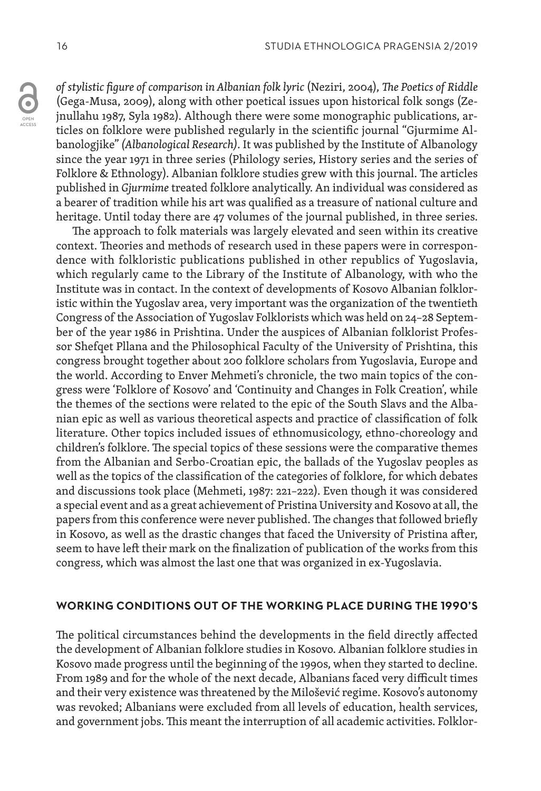*of stylistic figure of comparison in Albanian folk lyric* (Neziri, 2004), *The Poetics of Riddle*  (Gega-Musa, 2009), along with other poetical issues upon historical folk songs (Zejnullahu 1987, Syla 1982). Although there were some monographic publications, articles on folklore were published regularly in the scientific journal "Gjurmime Albanologjike" *(Albanological Research).* It was published by the Institute of Albanology since the year 1971 in three series (Philology series, History series and the series of Folklore & Ethnology). Albanian folklore studies grew with this journal. The articles published in *Gjurmime* treated folklore analytically. An individual was considered as a bearer of tradition while his art was qualified as a treasure of national culture and heritage. Until today there are 47 volumes of the journal published, in three series.

The approach to folk materials was largely elevated and seen within its creative context. Theories and methods of research used in these papers were in correspondence with folkloristic publications published in other republics of Yugoslavia, which regularly came to the Library of the Institute of Albanology, with who the Institute was in contact. In the context of developments of Kosovo Albanian folkloristic within the Yugoslav area, very important was the organization of the twentieth Congress of the Association of Yugoslav Folklorists which was held on 24–28 September of the year 1986 in Prishtina. Under the auspices of Albanian folklorist Professor Shefqet Pllana and the Philosophical Faculty of the University of Prishtina, this congress brought together about 200 folklore scholars from Yugoslavia, Europe and the world. According to Enver Mehmeti's chronicle, the two main topics of the congress were 'Folklore of Kosovo' and 'Continuity and Changes in Folk Creation', while the themes of the sections were related to the epic of the South Slavs and the Albanian epic as well as various theoretical aspects and practice of classification of folk literature. Other topics included issues of ethnomusicology, ethno-choreology and children's folklore. The special topics of these sessions were the comparative themes from the Albanian and Serbo-Croatian epic, the ballads of the Yugoslav peoples as well as the topics of the classification of the categories of folklore, for which debates and discussions took place (Mehmeti, 1987: 221–222). Even though it was considered a special event and as a great achievement of Pristina University and Kosovo at all, the papers from this conference were never published. The changes that followed briefly in Kosovo, as well as the drastic changes that faced the University of Pristina after, seem to have left their mark on the finalization of publication of the works from this congress, which was almost the last one that was organized in ex-Yugoslavia.

#### **WORKING CONDITIONS OUT OF THE WORKING PLACE DURING THE 1990'S**

The political circumstances behind the developments in the field directly affected the development of Albanian folklore studies in Kosovo. Albanian folklore studies in Kosovo made progress until the beginning of the 1990s, when they started to decline. From 1989 and for the whole of the next decade, Albanians faced very difficult times and their very existence was threatened by the Milošević regime. Kosovo's autonomy was revoked; Albanians were excluded from all levels of education, health services, and government jobs. This meant the interruption of all academic activities. Folklor-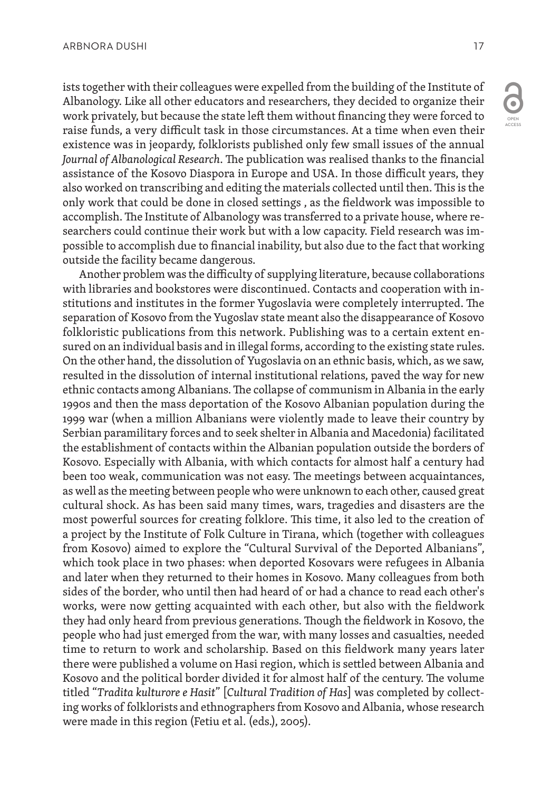ists together with their colleagues were expelled from the building of the Institute of Albanology. Like all other educators and researchers, they decided to organize their work privately, but because the state left them without financing they were forced to raise funds, a very difficult task in those circumstances. At a time when even their existence was in jeopardy, folklorists published only few small issues of the annual *Journal of Albanological Research*. The publication was realised thanks to the financial assistance of the Kosovo Diaspora in Europe and USA. In those difficult years, they also worked on transcribing and editing the materials collected until then. This is the only work that could be done in closed settings , as the fieldwork was impossible to accomplish. The Institute of Albanology was transferred to a private house, where researchers could continue their work but with a low capacity. Field research was impossible to accomplish due to financial inability, but also due to the fact that working outside the facility became dangerous.

Another problem was the difficulty of supplying literature, because collaborations with libraries and bookstores were discontinued. Contacts and cooperation with institutions and institutes in the former Yugoslavia were completely interrupted. The separation of Kosovo from the Yugoslav state meant also the disappearance of Kosovo folkloristic publications from this network. Publishing was to a certain extent ensured on an individual basis and in illegal forms, according to the existing state rules. On the other hand, the dissolution of Yugoslavia on an ethnic basis, which, as we saw, resulted in the dissolution of internal institutional relations, paved the way for new ethnic contacts among Albanians. The collapse of communism in Albania in the early 1990s and then the mass deportation of the Kosovo Albanian population during the 1999 war (when a million Albanians were violently made to leave their country by Serbian paramilitary forces and to seek shelter in Albania and Macedonia) facilitated the establishment of contacts within the Albanian population outside the borders of Kosovo. Especially with Albania, with which contacts for almost half a century had been too weak, communication was not easy. The meetings between acquaintances, as well as the meeting between people who were unknown to each other, caused great cultural shock. As has been said many times, wars, tragedies and disasters are the most powerful sources for creating folklore. This time, it also led to the creation of a project by the Institute of Folk Culture in Tirana, which (together with colleagues from Kosovo) aimed to explore the "Cultural Survival of the Deported Albanians", which took place in two phases: when deported Kosovars were refugees in Albania and later when they returned to their homes in Kosovo. Many colleagues from both sides of the border, who until then had heard of or had a chance to read each other's works, were now getting acquainted with each other, but also with the fieldwork they had only heard from previous generations. Though the fieldwork in Kosovo, the people who had just emerged from the war, with many losses and casualties, needed time to return to work and scholarship. Based on this fieldwork many years later there were published a volume on Hasi region, which is settled between Albania and Kosovo and the political border divided it for almost half of the century. The volume titled "*Tradita kulturore e Hasit*" [*Cultural Tradition of Has*] was completed by collecting works of folklorists and ethnographers from Kosovo and Albania, whose research were made in this region (Fetiu et al. (eds.), 2005).

OPEN ACCESS

O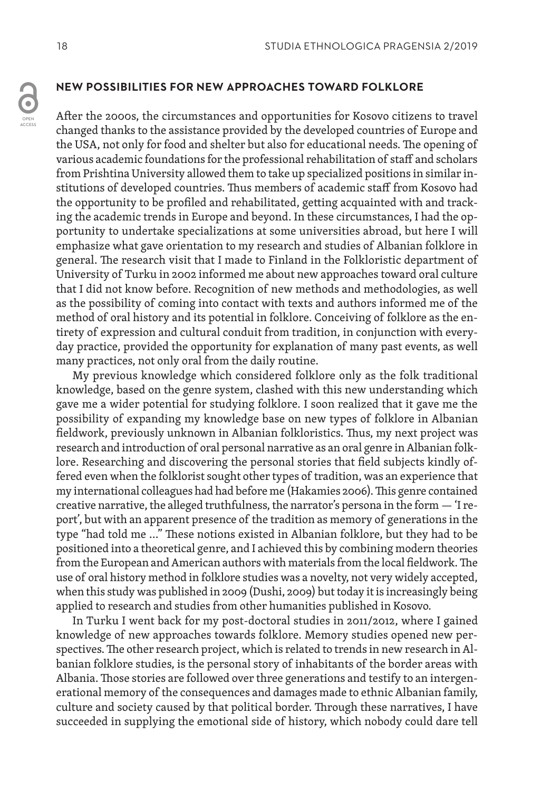### **NEW POSSIBILITIES FOR NEW APPROACHES TOWARD FOLKLORE**

After the 2000s, the circumstances and opportunities for Kosovo citizens to travel changed thanks to the assistance provided by the developed countries of Europe and the USA, not only for food and shelter but also for educational needs. The opening of various academic foundations for the professional rehabilitation of staff and scholars from Prishtina University allowed them to take up specialized positions in similar institutions of developed countries. Thus members of academic staff from Kosovo had the opportunity to be profiled and rehabilitated, getting acquainted with and tracking the academic trends in Europe and beyond. In these circumstances, I had the opportunity to undertake specializations at some universities abroad, but here I will emphasize what gave orientation to my research and studies of Albanian folklore in general. The research visit that I made to Finland in the Folkloristic department of University of Turku in 2002 informed me about new approaches toward oral culture that I did not know before. Recognition of new methods and methodologies, as well as the possibility of coming into contact with texts and authors informed me of the method of oral history and its potential in folklore. Conceiving of folklore as the entirety of expression and cultural conduit from tradition, in conjunction with everyday practice, provided the opportunity for explanation of many past events, as well many practices, not only oral from the daily routine.

My previous knowledge which considered folklore only as the folk traditional knowledge, based on the genre system, clashed with this new understanding which gave me a wider potential for studying folklore. I soon realized that it gave me the possibility of expanding my knowledge base on new types of folklore in Albanian fieldwork, previously unknown in Albanian folkloristics. Thus, my next project was research and introduction of oral personal narrative as an oral genre in Albanian folklore. Researching and discovering the personal stories that field subjects kindly offered even when the folklorist sought other types of tradition, was an experience that my international colleagues had had before me (Hakamies 2006). This genre contained creative narrative, the alleged truthfulness, the narrator's persona in the form — 'I report', but with an apparent presence of the tradition as memory of generations in the type "had told me …" These notions existed in Albanian folklore, but they had to be positioned into a theoretical genre, and I achieved this by combining modern theories from the European and American authors with materials from the local fieldwork. The use of oral history method in folklore studies was a novelty, not very widely accepted, when this study was published in 2009 (Dushi, 2009) but today it is increasingly being applied to research and studies from other humanities published in Kosovo.

In Turku I went back for my post-doctoral studies in 2011/2012, where I gained knowledge of new approaches towards folklore. Memory studies opened new perspectives. The other research project, which is related to trends in new research in Albanian folklore studies, is the personal story of inhabitants of the border areas with Albania. Those stories are followed over three generations and testify to an intergenerational memory of the consequences and damages made to ethnic Albanian family, culture and society caused by that political border. Through these narratives, I have succeeded in supplying the emotional side of history, which nobody could dare tell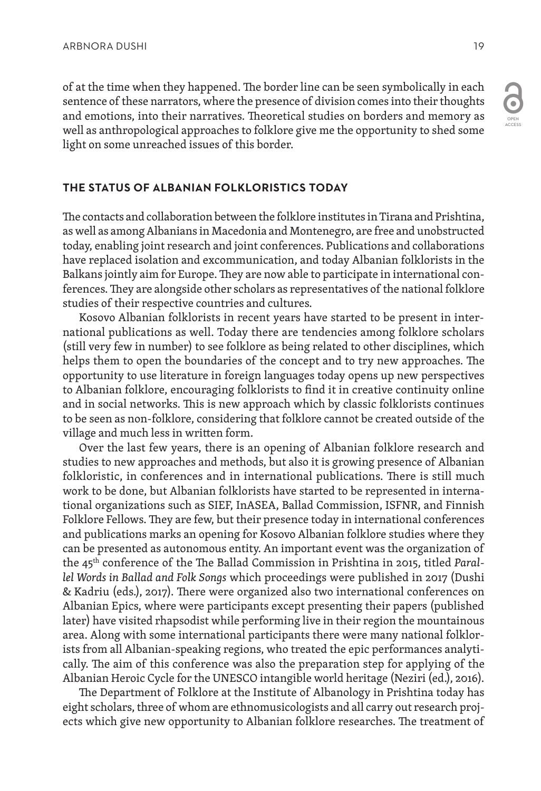$\overline{\bullet}$ OPEN

ACCESS

of at the time when they happened. The border line can be seen symbolically in each sentence of these narrators, where the presence of division comes into their thoughts and emotions, into their narratives. Theoretical studies on borders and memory as well as anthropological approaches to folklore give me the opportunity to shed some light on some unreached issues of this border.

## **THE STATUS OF ALBANIAN FOLKLORISTICS TODAY**

The contacts and collaboration between the folklore institutes in Tirana and Prishtina, as well as among Albanians in Macedonia and Montenegro, are free and unobstructed today, enabling joint research and joint conferences. Publications and collaborations have replaced isolation and excommunication, and today Albanian folklorists in the Balkans jointly aim for Europe. They are now able to participate in international conferences. They are alongside other scholars as representatives of the national folklore studies of their respective countries and cultures.

Kosovo Albanian folklorists in recent years have started to be present in international publications as well. Today there are tendencies among folklore scholars (still very few in number) to see folklore as being related to other disciplines, which helps them to open the boundaries of the concept and to try new approaches. The opportunity to use literature in foreign languages today opens up new perspectives to Albanian folklore, encouraging folklorists to find it in creative continuity online and in social networks. This is new approach which by classic folklorists continues to be seen as non-folklore, considering that folklore cannot be created outside of the village and much less in written form.

Over the last few years, there is an opening of Albanian folklore research and studies to new approaches and methods, but also it is growing presence of Albanian folkloristic, in conferences and in international publications. There is still much work to be done, but Albanian folklorists have started to be represented in international organizations such as SIEF, InASEA, Ballad Commission, ISFNR, and Finnish Folklore Fellows. They are few, but their presence today in international conferences and publications marks an opening for Kosovo Albanian folklore studies where they can be presented as autonomous entity. An important event was the organization of the 45th conference of the The Ballad Commission in Prishtina in 2015, titled *Parallel Words in Ballad and Folk Songs* which proceedings were published in 2017 (Dushi & Kadriu (eds.), 2017). There were organized also two international conferences on Albanian Epics, where were participants except presenting their papers (published later) have visited rhapsodist while performing live in their region the mountainous area. Along with some international participants there were many national folklorists from all Albanian-speaking regions, who treated the epic performances analytically. The aim of this conference was also the preparation step for applying of the Albanian Heroic Cycle for the UNESCO intangible world heritage (Neziri (ed.), 2016).

The Department of Folklore at the Institute of Albanology in Prishtina today has eight scholars, three of whom are ethnomusicologists and all carry out research projects which give new opportunity to Albanian folklore researches. The treatment of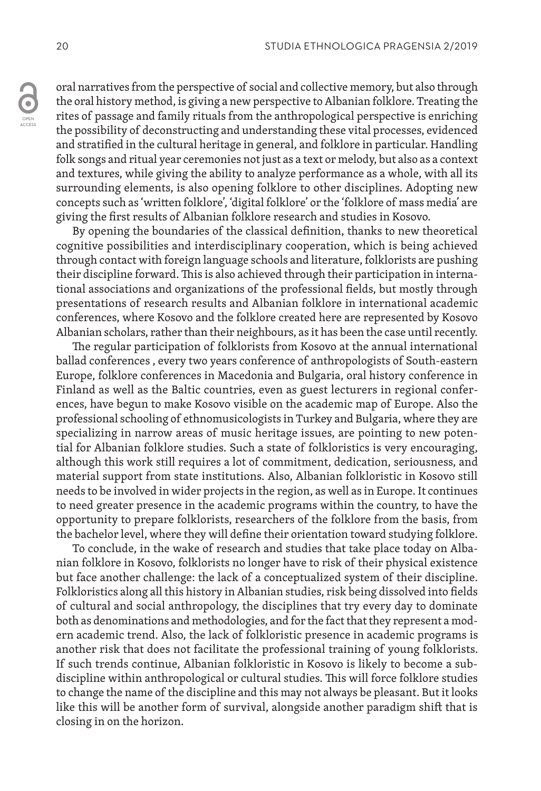oral narratives from the perspective of social and collective memory, but also through the oral history method, is giving a new perspective to Albanian folklore. Treating the rites of passage and family rituals from the anthropological perspective is enriching the possibility of deconstructing and understanding these vital processes, evidenced and stratified in the cultural heritage in general, and folklore in particular. Handling folk songs and ritual year ceremonies not just as a text or melody, but also as a context and textures, while giving the ability to analyze performance as a whole, with all its surrounding elements, is also opening folklore to other disciplines. Adopting new concepts such as 'written folklore', 'digital folklore' or the 'folklore of mass media' are giving the first results of Albanian folklore research and studies in Kosovo.

By opening the boundaries of the classical definition, thanks to new theoretical cognitive possibilities and interdisciplinary cooperation, which is being achieved through contact with foreign language schools and literature, folklorists are pushing their discipline forward. This is also achieved through their participation in international associations and organizations of the professional fields, but mostly through presentations of research results and Albanian folklore in international academic conferences, where Kosovo and the folklore created here are represented by Kosovo Albanian scholars, rather than their neighbours, as it has been the case until recently.

The regular participation of folklorists from Kosovo at the annual international ballad conferences , every two years conference of anthropologists of South-eastern Europe, folklore conferences in Macedonia and Bulgaria, oral history conference in Finland as well as the Baltic countries, even as guest lecturers in regional conferences, have begun to make Kosovo visible on the academic map of Europe. Also the professional schooling of ethnomusicologists in Turkey and Bulgaria, where they are specializing in narrow areas of music heritage issues, are pointing to new potential for Albanian folklore studies. Such a state of folkloristics is very encouraging, although this work still requires a lot of commitment, dedication, seriousness, and material support from state institutions. Also, Albanian folkloristic in Kosovo still needs to be involved in wider projects in the region, as well as in Europe. It continues to need greater presence in the academic programs within the country, to have the opportunity to prepare folklorists, researchers of the folklore from the basis, from the bachelor level, where they will define their orientation toward studying folklore.

To conclude, in the wake of research and studies that take place today on Albanian folklore in Kosovo, folklorists no longer have to risk of their physical existence but face another challenge: the lack of a conceptualized system of their discipline. Folkloristics along all this history in Albanian studies, risk being dissolved into fields of cultural and social anthropology, the disciplines that try every day to dominate both as denominations and methodologies, and for the fact that they represent a modern academic trend. Also, the lack of folkloristic presence in academic programs is another risk that does not facilitate the professional training of young folklorists. If such trends continue, Albanian folkloristic in Kosovo is likely to become a subdiscipline within anthropological or cultural studies. This will force folklore studies to change the name of the discipline and this may not always be pleasant. But it looks like this will be another form of survival, alongside another paradigm shift that is closing in on the horizon.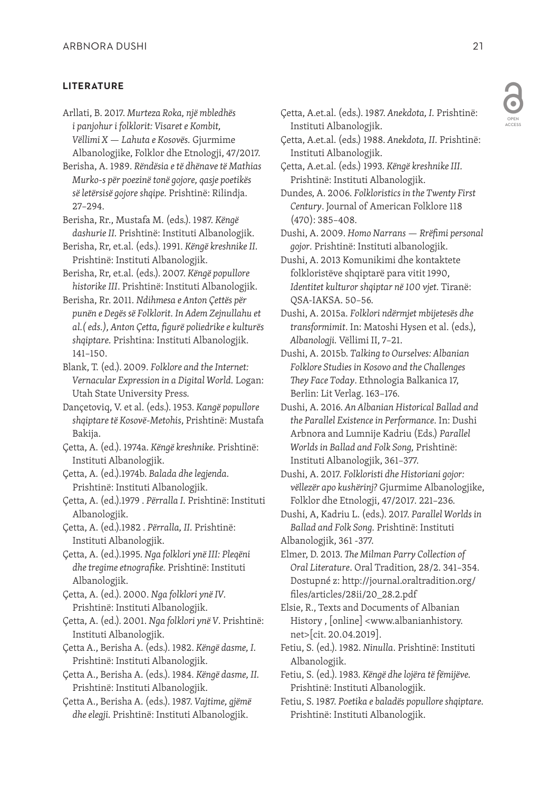### **LITERATURE**

Arllati, B. 2017. *Murteza Roka, një mbledhës i panjohur i folklorit: Visaret e Kombit, Vëllimi X — Lahuta e Kosovës.* Gjurmime Albanologjike, Folklor dhe Etnologji, 47/2017.

Berisha, A. 1989. *Rëndësia e të dhënave të Mathias Murko-s për poezinë tonë gojore, qasje poetikës së letërsisë gojore shqipe.* Prishtinë: Rilindja. 27–294.

Berisha, Rr., Mustafa M. (eds.). 1987. *Këngë dashurie II.* Prishtinë: Instituti Albanologjik.

Berisha, Rr, et.al. (eds.). 1991. *Këngë kreshnike II.* Prishtinë: Instituti Albanologjik.

Berisha, Rr, et.al. (eds.). 2007. *Këngë popullore historike III*. Prishtinë: Instituti Albanologjik.

Berisha, Rr. 2011. *Ndihmesa e Anton Çettës për punën e Degës së Folklorit. In Adem Zejnullahu et al.( eds.), Anton Çetta, figurë poliedrike e kulturës shqiptare.* Prishtina: Instituti Albanologjik. 141–150.

Blank, T. (ed.). 2009. *Folklore and the Internet: Vernacular Expression in a Digital World.* Logan: Utah State University Press.

Dançetoviq, V. et al. (eds.). 1953. *Kangë popullore shqiptare të Kosovë-Metohis*, Prishtinë: Mustafa Bakija.

Çetta, A. (ed.). 1974a. *Këngë kreshnike.* Prishtinë: Instituti Albanologjik.

Çetta, A. (ed.).1974b. *Balada dhe legjenda.* Prishtinë: Instituti Albanologjik.

Çetta, A. (ed.).1979 . *Përralla I.* Prishtinë: Instituti Albanologjik.

Çetta, A. (ed.).1982 . *Përralla, II.* Prishtinë: Instituti Albanologjik.

Çetta, A. (ed.).1995. *Nga folklori ynë III: Pleqëni dhe tregime etnografike.* Prishtinë: Instituti Albanologjik.

Çetta, A. (ed.). 2000. *Nga folklori ynë IV.*  Prishtinë: Instituti Albanologjik.

Çetta, A. (ed.). 2001. *Nga folklori ynë V*. Prishtinë: Instituti Albanologjik.

Çetta A., Berisha A. (eds.). 1982. *Këngë dasme, I.*  Prishtinë: Instituti Albanologjik.

Çetta A., Berisha A. (eds.). 1984. *Këngë dasme, II.* Prishtinë: Instituti Albanologjik.

Çetta A., Berisha A. (eds.). 1987. *Vajtime, gjëmë dhe elegji.* Prishtinë: Instituti Albanologjik.

Çetta, A.et.al. (eds.) 1988. *Anekdota, II.* Prishtinë: Instituti Albanologjik.

Çetta, A.et.al. (eds.) 1993. *Këngë kreshnike III.* Prishtinë: Instituti Albanologjik.

Dundes, A. 2006. *Folkloristics in the Twenty First Century*. Journal of American Folklore 118 (470): 385–408.

Dushi, A. 2009. *Homo Narrans — Rrëfimi personal gojor.* Prishtinë: Instituti albanologjik.

Dushi, A. 2013 Komunikimi dhe kontaktete folkloristëve shqiptarë para vitit 1990, *Identitet kulturor shqiptar në 100 vjet.* Tiranë: QSA-IAKSA. 50–56.

Dushi, A. 2015a. *Folklori ndërmjet mbijetesës dhe transformimit*. In: Matoshi Hysen et al. (eds.), *Albanologji.* Vëllimi II, 7–21.

Dushi, A. 2015b. *Talking to Ourselves: Albanian Folklore Studies in Kosovo and the Challenges They Face Today*. Ethnologia Balkanica 17, Berlin: Lit Verlag. 163–176.

Dushi, A. 2016. *An Albanian Historical Ballad and the Parallel Existence in Performance*. In: Dushi Arbnora and Lumnije Kadriu (Eds.) *Parallel Worlds in Ballad and Folk Song,* Prishtinë: Instituti Albanologjik, 361–377.

Dushi, A. 2017. *Folkloristi dhe Historiani gojor: vëllezër apo kushërinj?* Gjurmime Albanologjike, Folklor dhe Etnologji, 47/2017*.* 221–236.

Dushi, A, Kadriu L. (eds.). 2017. *Parallel Worlds in Ballad and Folk Song.* Prishtinë: Instituti

Albanologjik, 361 -377.

Elmer, D. 2013. *The Milman Parry Collection of Oral Literature*. Oral Tradition*,* 28/2. 341–354. Dostupné z: http://journal.oraltradition.org/ files/articles/28ii/20\_28.2.pdf

Elsie, R., Texts and Documents of Albanian History , [online] <www.albanianhistory. net>[cit. 20.04.2019].

Fetiu, S. (ed.). 1982. *Ninulla*. Prishtinë: Instituti Albanologjik.

Fetiu, S. (ed.). 1983. *Këngë dhe lojëra të fëmijëve.* Prishtinë: Instituti Albanologjik.

Fetiu, S. 1987. *Poetika e baladës popullore shqiptare.* Prishtinë: Instituti Albanologjik.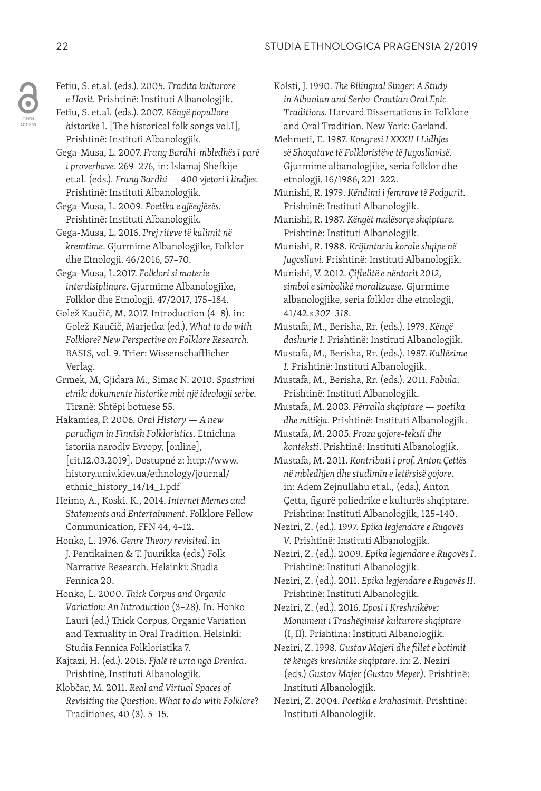Fetiu, S. et.al. (eds.). 2005. *Tradita kulturore e Hasit.* Prishtinë: Instituti Albanologjik.

Fetiu, S. et.al. (eds.). 2007. K*ëngë popullore historike* I. [The historical folk songs vol.I], Prishtinë: Instituti Albanologjik.

- Gega-Musa, L. 2007. *Frang Bardhi-mbledhës i parë i proverbave*. 269–276, in: Islamaj Shefkije et.al. (eds.). *Frang Bardhi — 400 vjetori i lindjes.*  Prishtinë: Instituti Albanologjik.
- Gega-Musa, L. 2009. *Poetika e gjëegjëzës.* Prishtinë: Instituti Albanologjik.

Gega-Musa, L. 2016. *Prej riteve të kalimit në kremtime*. Gjurmime Albanologjike, Folklor dhe Etnologji. 46/2016, 57–70.

Gega-Musa, L.2017. *Folklori si materie interdisiplinare*. Gjurmime Albanologjike, Folklor dhe Etnologji*.* 47/2017*,* 175–184.

Golež Kaučič, M. 2017. Introduction (4–8). in: Golež-Kaučič, Marjetka (ed.), *What to do with Folklore? New Perspective on Folklore Research.*  BASIS, vol. 9. Trier: Wissenschaftlicher Verlag.

Grmek, M, Gjidara M., Simac N. 2010. *Spastrimi etnik: dokumente historike mbi një ideologji serbe.*  Tiranë: Shtëpi botuese 55.

Hakamies, P. 2006. *Oral History — A new paradigm in Finnish Folkloristics*. Etnichna istoriia narodiv Evropy, [online], [cit.12.03.2019]. Dostupné z: http://www. history.univ.kiev.ua/ethnology/journal/ ethnic\_history\_14/14\_1.pdf

Heimo, A., Koski. K., 2014. *Internet Memes and Statements and Entertainment*. Folklore Fellow Communication*,* FFN 44, 4–12.

Honko, L. 1976. *Genre Theory revisited*. in J. Pentikainen & T. Juurikka (eds.) Folk Narrative Research. Helsinki: Studia Fennica 20.

Honko, L. 2000. *Thick Corpus and Organic Variation: An Introduction* (3–28). In. Honko Lauri (ed.) Thick Corpus, Organic Variation and Textuality in Oral Tradition. Helsinki: Studia Fennica Folkloristika 7.

Kajtazi, H. (ed.). 2015. *Fjalë të urta nga Drenica*. Prishtinë, Instituti Albanologjik.

Klobčar, M. 2011. *Real and Virtual Spaces of Revisiting the Question*. *What to do with Folklore*? Traditiones, 40 (3). 5–15.

Kolsti, J. 1990. *The Bilingual Singer: A Study in Albanian and Serbo-Croatian Oral Epic Traditions.* Harvard Dissertations in Folklore and Oral Tradition. New York: Garland.

Mehmeti, E. 1987. *Kongresi I XXXII I Lidhjes së Shoqatave të Folkloristëve të Jugosllavisë*. Gjurmime albanologjike, seria folklor dhe etnologji*.* 16/1986, 221–222.

Munishi, R. 1979. *Këndimi i femrave të Podgurit.* Prishtinë: Instituti Albanologjik.

Munishi, R. 1987. *Këngët malësorçe shqiptare.* Prishtinë: Instituti Albanologjik.

Munishi, R. 1988. *Krijimtaria korale shqipe në Jugosllavi.* Prishtinë: Instituti Albanologjik.

Munishi, V. 2012. *Çiftelitë e nëntorit 2012, simbol e simbolikë moralizuese*. Gjurmime albanologjike, seria folklor dhe etnologji, 41/42*.s 307–318.*

Mustafa, M., Berisha, Rr. (eds.). 1979. *Këngë dashurie I.* Prishtinë: Instituti Albanologjik.

Mustafa, M., Berisha, Rr. (eds.). 1987. *Kallëzime I.* Prishtinë: Instituti Albanologjik.

Mustafa, M., Berisha, Rr. (eds.). 2011. *Fabula.*  Prishtinë: Instituti Albanologjik.

- Mustafa, M. 2003. *Përralla shqiptare poetika dhe mitikja*. Prishtinë: Instituti Albanologjik.
- Mustafa, M. 2005. *Proza gojore-teksti dhe konteksti*. Prishtinë: Instituti Albanologjik.
- Mustafa, M. 2011. *Kontributi i prof. Anton Çettës në mbledhjen dhe studimin e letërsisë gojore*. in: Adem Zejnullahu et al., (eds.), Anton Çetta, figurë poliedrike e kulturës shqiptare. Prishtina: Instituti Albanologjik, 125–140.
- Neziri, Z. (ed.). 1997. *Epika legjendare e Rugovës V.* Prishtinë: Instituti Albanologjik.
- Neziri, Z. (ed.). 2009. *Epika legjendare e Rugovës I*. Prishtinë: Instituti Albanologjik.
- Neziri, Z. (ed.). 2011. *Epika legjendare e Rugovës II.* Prishtinë: Instituti Albanologjik.

Neziri, Z. (ed.). 2016. *Eposi i Kreshnikëve: Monument i Trashëgimisë kulturore shqiptare* (I, II). Prishtina: Instituti Albanologjik.

Neziri, Z. 1998. *Gustav Majeri dhe fillet e botimit të këngës kreshnike shqiptare*. in: Z. Neziri (eds.) *Gustav Majer (Gustav Meyer).* Prishtinë: Instituti Albanologjik.

Neziri, Z. 2004. *Poetika e krahasimit.* Prishtinë: Instituti Albanologjik.